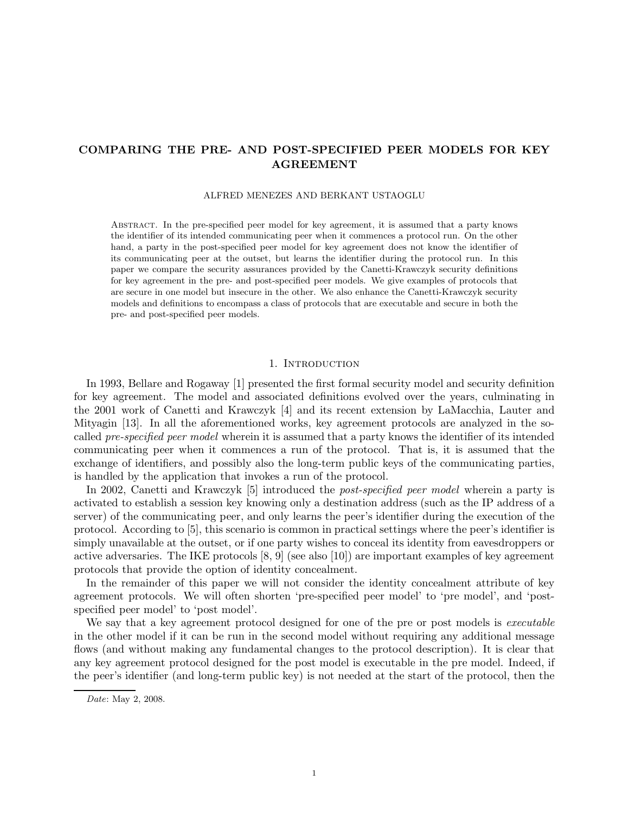# COMPARING THE PRE- AND POST-SPECIFIED PEER MODELS FOR KEY AGREEMENT

### ALFRED MENEZES AND BERKANT USTAOGLU

Abstract. In the pre-specified peer model for key agreement, it is assumed that a party knows the identifier of its intended communicating peer when it commences a protocol run. On the other hand, a party in the post-specified peer model for key agreement does not know the identifier of its communicating peer at the outset, but learns the identifier during the protocol run. In this paper we compare the security assurances provided by the Canetti-Krawczyk security definitions for key agreement in the pre- and post-specified peer models. We give examples of protocols that are secure in one model but insecure in the other. We also enhance the Canetti-Krawczyk security models and definitions to encompass a class of protocols that are executable and secure in both the pre- and post-specified peer models.

## 1. INTRODUCTION

In 1993, Bellare and Rogaway [1] presented the first formal security model and security definition for key agreement. The model and associated definitions evolved over the years, culminating in the 2001 work of Canetti and Krawczyk [4] and its recent extension by LaMacchia, Lauter and Mityagin [13]. In all the aforementioned works, key agreement protocols are analyzed in the socalled pre-specified peer model wherein it is assumed that a party knows the identifier of its intended communicating peer when it commences a run of the protocol. That is, it is assumed that the exchange of identifiers, and possibly also the long-term public keys of the communicating parties, is handled by the application that invokes a run of the protocol.

In 2002, Canetti and Krawczyk [5] introduced the post-specified peer model wherein a party is activated to establish a session key knowing only a destination address (such as the IP address of a server) of the communicating peer, and only learns the peer's identifier during the execution of the protocol. According to [5], this scenario is common in practical settings where the peer's identifier is simply unavailable at the outset, or if one party wishes to conceal its identity from eavesdroppers or active adversaries. The IKE protocols [8, 9] (see also [10]) are important examples of key agreement protocols that provide the option of identity concealment.

In the remainder of this paper we will not consider the identity concealment attribute of key agreement protocols. We will often shorten 'pre-specified peer model' to 'pre model', and 'postspecified peer model' to 'post model'.

We say that a key agreement protocol designed for one of the pre or post models is *executable* in the other model if it can be run in the second model without requiring any additional message flows (and without making any fundamental changes to the protocol description). It is clear that any key agreement protocol designed for the post model is executable in the pre model. Indeed, if the peer's identifier (and long-term public key) is not needed at the start of the protocol, then the

Date: May 2, 2008.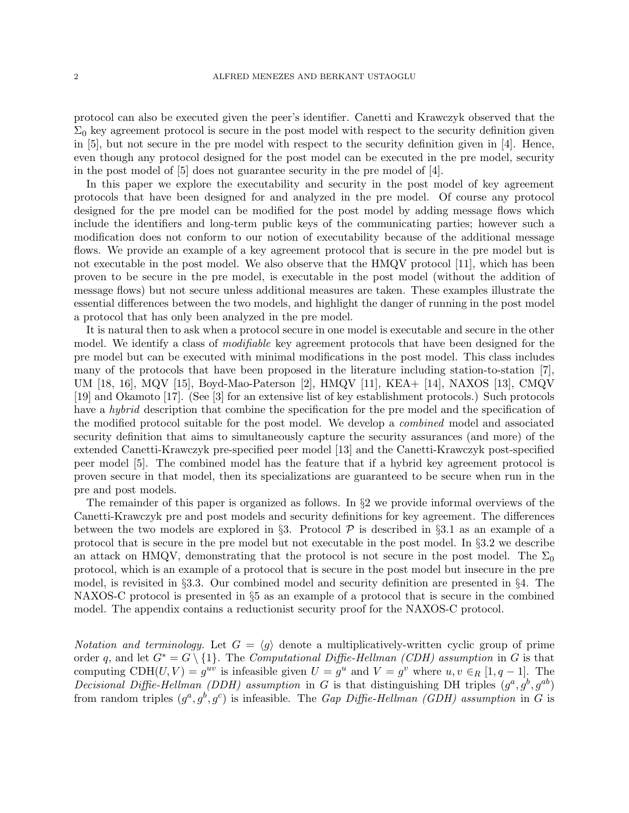protocol can also be executed given the peer's identifier. Canetti and Krawczyk observed that the  $\Sigma_0$  key agreement protocol is secure in the post model with respect to the security definition given in [5], but not secure in the pre model with respect to the security definition given in [4]. Hence, even though any protocol designed for the post model can be executed in the pre model, security in the post model of [5] does not guarantee security in the pre model of [4].

In this paper we explore the executability and security in the post model of key agreement protocols that have been designed for and analyzed in the pre model. Of course any protocol designed for the pre model can be modified for the post model by adding message flows which include the identifiers and long-term public keys of the communicating parties; however such a modification does not conform to our notion of executability because of the additional message flows. We provide an example of a key agreement protocol that is secure in the pre model but is not executable in the post model. We also observe that the HMQV protocol [11], which has been proven to be secure in the pre model, is executable in the post model (without the addition of message flows) but not secure unless additional measures are taken. These examples illustrate the essential differences between the two models, and highlight the danger of running in the post model a protocol that has only been analyzed in the pre model.

It is natural then to ask when a protocol secure in one model is executable and secure in the other model. We identify a class of *modifiable* key agreement protocols that have been designed for the pre model but can be executed with minimal modifications in the post model. This class includes many of the protocols that have been proposed in the literature including station-to-station [7], UM [18, 16], MQV [15], Boyd-Mao-Paterson [2], HMQV [11], KEA+ [14], NAXOS [13], CMQV [19] and Okamoto [17]. (See [3] for an extensive list of key establishment protocols.) Such protocols have a *hybrid* description that combine the specification for the pre-model and the specification of the modified protocol suitable for the post model. We develop a combined model and associated security definition that aims to simultaneously capture the security assurances (and more) of the extended Canetti-Krawczyk pre-specified peer model [13] and the Canetti-Krawczyk post-specified peer model [5]. The combined model has the feature that if a hybrid key agreement protocol is proven secure in that model, then its specializations are guaranteed to be secure when run in the pre and post models.

The remainder of this paper is organized as follows. In §2 we provide informal overviews of the Canetti-Krawczyk pre and post models and security definitions for key agreement. The differences between the two models are explored in §3. Protocol  $P$  is described in §3.1 as an example of a protocol that is secure in the pre model but not executable in the post model. In §3.2 we describe an attack on HMQV, demonstrating that the protocol is not secure in the post model. The  $\Sigma_0$ protocol, which is an example of a protocol that is secure in the post model but insecure in the pre model, is revisited in §3.3. Our combined model and security definition are presented in §4. The NAXOS-C protocol is presented in §5 as an example of a protocol that is secure in the combined model. The appendix contains a reductionist security proof for the NAXOS-C protocol.

*Notation and terminology.* Let  $G = \langle g \rangle$  denote a multiplicatively-written cyclic group of prime order q, and let  $G^* = G \setminus \{1\}$ . The Computational Diffie-Hellman (CDH) assumption in G is that computing CDH $(U, V) = g^{uv}$  is infeasible given  $U = g^u$  and  $V = g^v$  where  $u, v \in_R [1, q-1]$ . The Decisional Diffie-Hellman (DDH) assumption in G is that distinguishing DH triples  $(g^a, g^b, g^{ab})$ from random triples  $(g^a, g^b, g^c)$  is infeasible. The *Gap Diffie-Hellman (GDH) assumption* in *G* is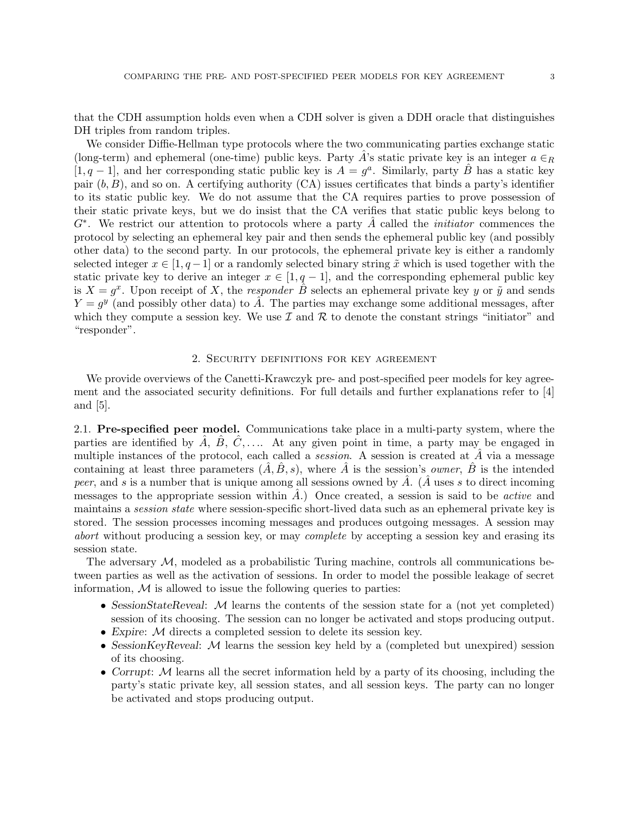that the CDH assumption holds even when a CDH solver is given a DDH oracle that distinguishes DH triples from random triples.

We consider Diffie-Hellman type protocols where the two communicating parties exchange static (long-term) and ephemeral (one-time) public keys. Party  $\tilde{A}$ 's static private key is an integer  $a \in_R$  $[1, q-1]$ , and her corresponding static public key is  $A = g<sup>a</sup>$ . Similarly, party  $\hat{B}$  has a static key pair  $(b, B)$ , and so on. A certifying authority  $(CA)$  issues certificates that binds a party's identifier to its static public key. We do not assume that the CA requires parties to prove possession of their static private keys, but we do insist that the CA verifies that static public keys belong to  $G^*$ . We restrict our attention to protocols where a party  $\hat{A}$  called the *initiator* commences the protocol by selecting an ephemeral key pair and then sends the ephemeral public key (and possibly other data) to the second party. In our protocols, the ephemeral private key is either a randomly selected integer  $x \in [1, q-1]$  or a randomly selected binary string  $\tilde{x}$  which is used together with the static private key to derive an integer  $x \in [1, q-1]$ , and the corresponding ephemeral public key is  $X = g^x$ . Upon receipt of X, the responder  $\hat{B}$  selects an ephemeral private key y or  $\tilde{y}$  and sends  $Y = g^y$  (and possibly other data) to  $\hat{A}$ . The parties may exchange some additional messages, after which they compute a session key. We use  $\mathcal I$  and  $\mathcal R$  to denote the constant strings "initiator" and "responder".

#### 2. Security definitions for key agreement

We provide overviews of the Canetti-Krawczyk pre- and post-specified peer models for key agreement and the associated security definitions. For full details and further explanations refer to [4] and [5].

2.1. Pre-specified peer model. Communications take place in a multi-party system, where the parties are identified by  $\hat{A}$ ,  $\hat{B}$ ,  $\hat{C}$ ,.... At any given point in time, a party may be engaged in multiple instances of the protocol, each called a *session*. A session is created at  $A$  via a message containing at least three parameters  $(\tilde{A}, \tilde{B}, s)$ , where  $\tilde{A}$  is the session's *owner*,  $\tilde{B}$  is the intended peer, and s is a number that is unique among all sessions owned by A $\hat{A}$ . (A uses s to direct incoming messages to the appropriate session within  $A<sub>i</sub>$ . Once created, a session is said to be *active* and maintains a session state where session-specific short-lived data such as an ephemeral private key is stored. The session processes incoming messages and produces outgoing messages. A session may abort without producing a session key, or may complete by accepting a session key and erasing its session state.

The adversary  $M$ , modeled as a probabilistic Turing machine, controls all communications between parties as well as the activation of sessions. In order to model the possible leakage of secret information,  $M$  is allowed to issue the following queries to parties:

- SessionStateReveal:  $M$  learns the contents of the session state for a (not yet completed) session of its choosing. The session can no longer be activated and stops producing output.
- Expire: M directs a completed session to delete its session key.
- SessionKeyReveal: M learns the session key held by a (completed but unexpired) session of its choosing.
- Corrupt:  $M$  learns all the secret information held by a party of its choosing, including the party's static private key, all session states, and all session keys. The party can no longer be activated and stops producing output.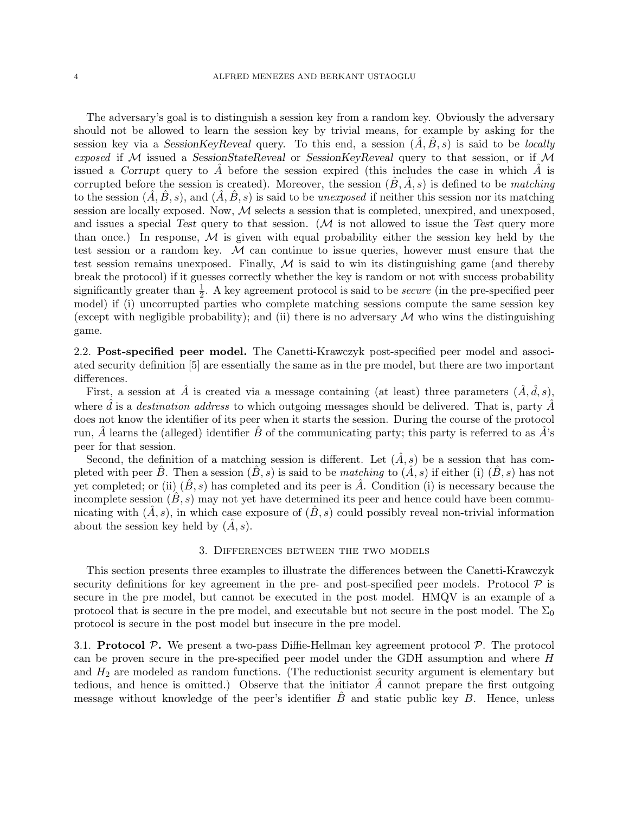The adversary's goal is to distinguish a session key from a random key. Obviously the adversary should not be allowed to learn the session key by trivial means, for example by asking for the session key via a SessionKeyReveal query. To this end, a session  $(A, B, s)$  is said to be *locally* exposed if M issued a SessionStateReveal or SessionKeyReveal query to that session, or if M issued a Corrupt query to A before the session expired (this includes the case in which A is corrupted before the session is created). Moreover, the session  $(B, A, s)$  is defined to be matching to the session  $(\tilde{A}, \tilde{B}, s)$ , and  $(\tilde{A}, \tilde{B}, s)$  is said to be *unexposed* if neither this session nor its matching session are locally exposed. Now,  $M$  selects a session that is completed, unexpired, and unexposed, and issues a special Test query to that session. ( $\mathcal M$  is not allowed to issue the Test query more than once.) In response,  $M$  is given with equal probability either the session key held by the test session or a random key.  $M$  can continue to issue queries, however must ensure that the test session remains unexposed. Finally,  $M$  is said to win its distinguishing game (and thereby break the protocol) if it guesses correctly whether the key is random or not with success probability significantly greater than  $\frac{1}{2}$ . A key agreement protocol is said to be *secure* (in the pre-specified peer model) if (i) uncorrupted parties who complete matching sessions compute the same session key (except with negligible probability); and (ii) there is no adversary  $\mathcal M$  who wins the distinguishing game.

2.2. Post-specified peer model. The Canetti-Krawczyk post-specified peer model and associated security definition [5] are essentially the same as in the pre model, but there are two important differences.

First, a session at A is created via a message containing (at least) three parameters  $(A, d, s)$ , where  $\ddot{d}$  is a *destination address* to which outgoing messages should be delivered. That is, party  $\hat{A}$ does not know the identifier of its peer when it starts the session. During the course of the protocol run, A learns the (alleged) identifier B of the communicating party; this party is referred to as  $A$ 's peer for that session.

Second, the definition of a matching session is different. Let  $(\hat{A}, s)$  be a session that has completed with peer B. Then a session  $(B, s)$  is said to be matching to  $(A, s)$  if either (i)  $(B, s)$  has not yet completed; or (ii)  $(B, s)$  has completed and its peer is  $\hat{A}$ . Condition (i) is necessary because the incomplete session  $(B, s)$  may not yet have determined its peer and hence could have been communicating with  $(A, s)$ , in which case exposure of  $(B, s)$  could possibly reveal non-trivial information about the session key held by  $(A, s)$ .

#### 3. Differences between the two models

This section presents three examples to illustrate the differences between the Canetti-Krawczyk security definitions for key agreement in the pre- and post-specified peer models. Protocol  $\mathcal P$  is secure in the pre model, but cannot be executed in the post model. HMQV is an example of a protocol that is secure in the pre model, and executable but not secure in the post model. The  $\Sigma_0$ protocol is secure in the post model but insecure in the pre model.

3.1. **Protocol**  $P$ . We present a two-pass Diffie-Hellman key agreement protocol  $P$ . The protocol can be proven secure in the pre-specified peer model under the GDH assumption and where H and  $H_2$  are modeled as random functions. (The reductionist security argument is elementary but tedious, and hence is omitted.) Observe that the initiator  $A$  cannot prepare the first outgoing message without knowledge of the peer's identifier  $\hat{B}$  and static public key B. Hence, unless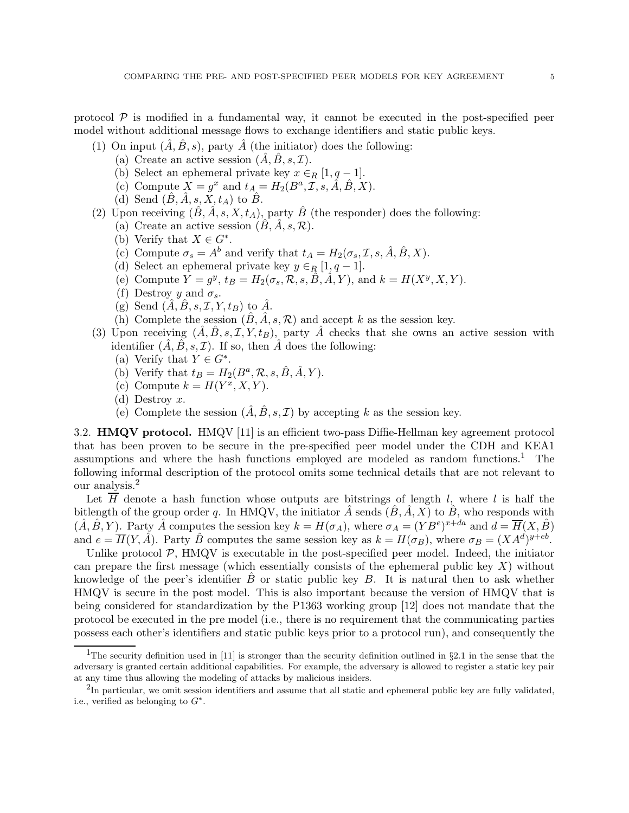protocol  $P$  is modified in a fundamental way, it cannot be executed in the post-specified peer model without additional message flows to exchange identifiers and static public keys.

- (1) On input  $(\hat{A}, \hat{B}, s)$ , party  $\hat{A}$  (the initiator) does the following:
	- (a) Create an active session  $(\tilde{A}, \tilde{B}, s, \mathcal{I})$ .
	- (b) Select an ephemeral private key  $x \in_R [1, q-1]$ .
	- (c) Compute  $X = g^x$  and  $t_A = H_2(B^a, \mathcal{I}, s, \hat{A}, \hat{B}, X)$ .
	- (d) Send  $(\hat{B}, \hat{A}, s, X, t_A)$  to  $\hat{B}$ .
- (2) Upon receiving  $(B, \tilde{A}, s, X, t_A)$ , party  $\tilde{B}$  (the responder) does the following:
	- (a) Create an active session  $(B, \tilde{A}, s, \mathcal{R})$ .
	- (b) Verify that  $X \in G^*$ .
	- (c) Compute  $\sigma_s = A^b$  and verify that  $t_A = H_2(\sigma_s, \mathcal{I}, s, \hat{A}, \hat{B}, X)$ .
	- (d) Select an ephemeral private key  $y \in_R [1, q-1]$ .
	- (e) Compute  $Y = g^y$ ,  $t_B = H_2(\sigma_s, \mathcal{R}, s, \hat{B}, \hat{A}, Y)$ , and  $k = H(X^y, X, Y)$ .
	- (f) Destroy y and  $\sigma_s$ .
	- (g) Send  $(\tilde{A}, \tilde{B}, s, \mathcal{I}, Y, t_B)$  to  $\tilde{A}$ .
	- (h) Complete the session  $(B, A, s, \mathcal{R})$  and accept k as the session key.
- (3) Upon receiving  $(A, \dot{B}, s, \mathcal{I}, Y, t_B)$ , party A checks that she owns an active session with identifier  $(\tilde{A}, \tilde{B}, s, \mathcal{I})$ . If so, then  $\tilde{A}$  does the following:
	- (a) Verify that  $Y \in G^*$ .
	- (b) Verify that  $t_B = H_2(B^a, \mathcal{R}, s, \hat{B}, \hat{A}, Y)$ .
	- (c) Compute  $k = H(Y^x, X, Y)$ .
	- (d) Destroy  $x$ .
	- (e) Complete the session  $(\hat{A}, \hat{B}, s, \mathcal{I})$  by accepting k as the session key.

3.2. HMQV protocol. HMQV [11] is an efficient two-pass Diffie-Hellman key agreement protocol that has been proven to be secure in the pre-specified peer model under the CDH and KEA1 assumptions and where the hash functions employed are modeled as random functions.<sup>1</sup> The following informal description of the protocol omits some technical details that are not relevant to our analysis.<sup>2</sup>

Let  $\overline{H}$  denote a hash function whose outputs are bitstrings of length l, where l is half the bitlength of the group order q. In HMQV, the initiator  $\hat{A}$  sends  $(\hat{B}, \hat{A}, X)$  to  $\hat{B}$ , who responds with  $(\hat{A}, \hat{B}, Y)$ . Party  $\hat{A}$  computes the session key  $k = H(\sigma_A)$ , where  $\sigma_A = (YB^e)^{x+da}$  and  $d = \overline{H}(X, \hat{B})$ and  $e = \overline{H}(Y, \hat{A})$ . Party  $\hat{B}$  computes the same session key as  $k = H(\sigma_B)$ , where  $\sigma_B = (XA^d)^{y+eb}$ .

Unlike protocol  $P$ , HMQV is executable in the post-specified peer model. Indeed, the initiator can prepare the first message (which essentially consists of the ephemeral public key  $X$ ) without knowledge of the peer's identifier  $B$  or static public key  $B$ . It is natural then to ask whether HMQV is secure in the post model. This is also important because the version of HMQV that is being considered for standardization by the P1363 working group [12] does not mandate that the protocol be executed in the pre model (i.e., there is no requirement that the communicating parties possess each other's identifiers and static public keys prior to a protocol run), and consequently the

<sup>&</sup>lt;sup>1</sup>The security definition used in [11] is stronger than the security definition outlined in  $\S 2.1$  in the sense that the adversary is granted certain additional capabilities. For example, the adversary is allowed to register a static key pair at any time thus allowing the modeling of attacks by malicious insiders.

<sup>&</sup>lt;sup>2</sup>In particular, we omit session identifiers and assume that all static and ephemeral public key are fully validated, i.e., verified as belonging to  $G^*$ .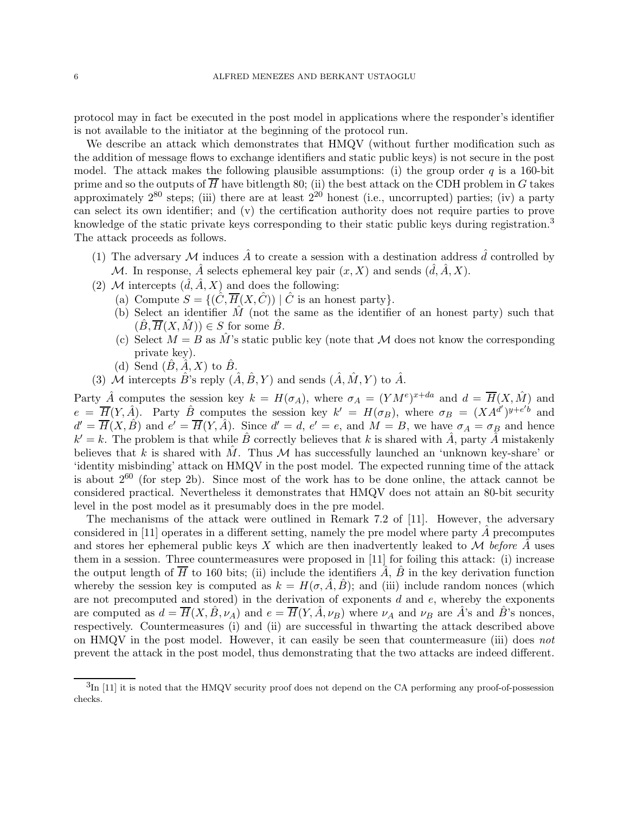protocol may in fact be executed in the post model in applications where the responder's identifier is not available to the initiator at the beginning of the protocol run.

We describe an attack which demonstrates that HMQV (without further modification such as the addition of message flows to exchange identifiers and static public keys) is not secure in the post model. The attack makes the following plausible assumptions: (i) the group order  $q$  is a 160-bit prime and so the outputs of  $\overline{H}$  have bitlength 80; (ii) the best attack on the CDH problem in G takes approximately  $2^{80}$  steps; (iii) there are at least  $2^{20}$  honest (i.e., uncorrupted) parties; (iv) a party can select its own identifier; and (v) the certification authority does not require parties to prove knowledge of the static private keys corresponding to their static public keys during registration.<sup>3</sup> The attack proceeds as follows.

- (1) The adversary M induces  $\hat{A}$  to create a session with a destination address  $\hat{d}$  controlled by M. In response,  $\hat{A}$  selects ephemeral key pair  $(x, X)$  and sends  $(\hat{d}, \hat{A}, X)$ .
- (2) M intercepts  $(\hat{d}, \hat{A}, X)$  and does the following:
	- (a) Compute  $S = \{(\hat{C}, \overline{H}(X, \hat{C})) | \hat{C}$  is an honest party}.
	- (b) Select an identifier  $\hat{M}$  (not the same as the identifier of an honest party) such that  $(B, H(X, M)) \in S$  for some B.
	- (c) Select  $M = B$  as  $\hat{M}$ 's static public key (note that M does not know the corresponding private key).
	- (d) Send  $(\hat{B}, \hat{A}, X)$  to  $\hat{B}$ .
- (3) M intercepts B's reply  $(\tilde{A}, \tilde{B}, Y)$  and sends  $(\hat{A}, \hat{M}, Y)$  to  $\hat{A}$ .

Party  $\hat{A}$  computes the session key  $k = H(\sigma_A)$ , where  $\sigma_A = (YM^e)^{x+da}$  and  $d = \overline{H}(X, \hat{M})$  and  $e = \overline{H}(Y, \hat{A})$ . Party  $\hat{B}$  computes the session key  $k' = H(\sigma_B)$ , where  $\sigma_B = (XA^{\hat{d}'})^{\hat{y} + e'^{\hat{b}}}$  and  $d' = \overline{H}(X, \hat{B})$  and  $e' = \overline{H}(Y, \hat{A})$ . Since  $d' = d$ ,  $e' = e$ , and  $M = B$ , we have  $\sigma_A = \sigma_B$  and hence  $k' = k$ . The problem is that while  $\hat{B}$  correctly believes that k is shared with  $\hat{A}$ , party  $\overline{\hat{A}}$  mistakenly believes that k is shared with M. Thus M has successfully launched an 'unknown key-share' or 'identity misbinding' attack on HMQV in the post model. The expected running time of the attack is about  $2^{60}$  (for step 2b). Since most of the work has to be done online, the attack cannot be considered practical. Nevertheless it demonstrates that HMQV does not attain an 80-bit security level in the post model as it presumably does in the pre model.

The mechanisms of the attack were outlined in Remark 7.2 of [11]. However, the adversary considered in  $[11]$  operates in a different setting, namely the pre model where party A precomputes and stores her ephemeral public keys X which are then inadvertently leaked to  $\mathcal M$  before A uses them in a session. Three countermeasures were proposed in [11] for foiling this attack: (i) increase the output length of  $\overline{H}$  to 160 bits; (ii) include the identifiers  $\hat{A}$ ,  $\hat{B}$  in the key derivation function whereby the session key is computed as  $k = H(\sigma, A, B)$ ; and (iii) include random nonces (which are not precomputed and stored) in the derivation of exponents  $d$  and  $e$ , whereby the exponents are computed as  $d = \overline{H}(X, \hat{B}, \nu_A)$  and  $e = \overline{H}(Y, \hat{A}, \nu_B)$  where  $\nu_A$  and  $\nu_B$  are  $\hat{A}$ 's and  $\hat{B}$ 's nonces, respectively. Countermeasures (i) and (ii) are successful in thwarting the attack described above on  $HMQV$  in the post model. However, it can easily be seen that countermeasure (iii) does not prevent the attack in the post model, thus demonstrating that the two attacks are indeed different.

 ${}^{3}\text{In}$  [11] it is noted that the HMQV security proof does not depend on the CA performing any proof-of-possession checks.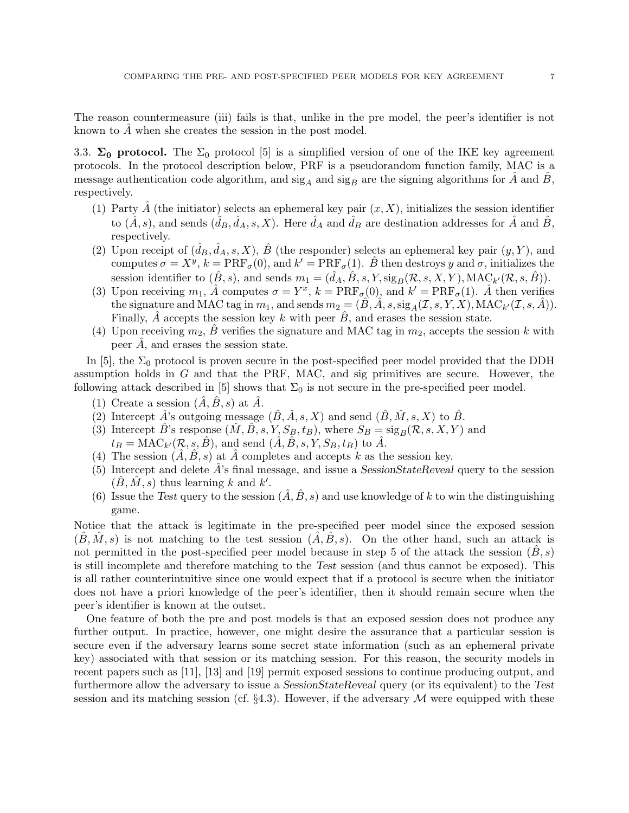The reason countermeasure (iii) fails is that, unlike in the pre model, the peer's identifier is not known to  $A$  when she creates the session in the post model.

3.3.  $\Sigma_0$  protocol. The  $\Sigma_0$  protocol [5] is a simplified version of one of the IKE key agreement protocols. In the protocol description below, PRF is a pseudorandom function family, MAC is a message authentication code algorithm, and  $sig_A$  and  $sig_B$  are the signing algorithms for A and B<sup> $\,$ </sup>, respectively.

- (1) Party  $\hat{A}$  (the initiator) selects an ephemeral key pair  $(x, X)$ , initializes the session identifier to  $(\hat{A}, s)$ , and sends  $(\hat{d}_B, \hat{d}_A, s, X)$ . Here  $\hat{d}_A$  and  $\hat{d}_B$  are destination addresses for  $\hat{A}$  and  $\hat{B}$ , respectively.
- (2) Upon receipt of  $(\hat{d}_B, \hat{d}_A, s, X)$ ,  $\hat{B}$  (the responder) selects an ephemeral key pair  $(y, Y)$ , and computes  $\sigma = X^y$ ,  $k = \text{PRF}_{\sigma}(0)$ , and  $k' = \text{PRF}_{\sigma}(1)$ .  $\hat{B}$  then destroys y and  $\sigma$ , initializes the session identifier to  $(\hat{\beta}, s)$ , and sends  $m_1 = (\hat{d}_A, \hat{B}, s, Y, \text{sig}_B(\mathcal{R}, s, X, Y), \text{MAC}_{k'}(\mathcal{R}, s, \hat{B}))$ .
- (3) Upon receiving  $m_1$ ,  $\hat{A}$  computes  $\sigma = Y^x$ ,  $k = \text{PRF}_{\sigma}(0)$ , and  $k' = \text{PRF}_{\sigma}(1)$ .  $\hat{A}$  then verifies the signature and MAC tag in  $m_1$ , and sends  $m_2 = (\hat{B}, \hat{A}, s, \text{sig}_A(\mathcal{I}, s, Y, X), \text{MAC}_{k'}(\mathcal{I}, s, \hat{A})).$ Finally,  $\hat{A}$  accepts the session key k with peer  $\hat{B}$ , and erases the session state.
- (4) Upon receiving  $m_2$ ,  $\hat{B}$  verifies the signature and MAC tag in  $m_2$ , accepts the session k with peer  $\hat{A}$ , and erases the session state.

In [5], the  $\Sigma_0$  protocol is proven secure in the post-specified peer model provided that the DDH assumption holds in G and that the PRF, MAC, and sig primitives are secure. However, the following attack described in [5] shows that  $\Sigma_0$  is not secure in the pre-specified peer model.

- (1) Create a session  $(\hat{A}, \hat{B}, s)$  at  $\hat{A}$ .
- (2) Intercept  $\hat{A}$ 's outgoing message  $(\hat{B}, \hat{A}, s, X)$  and send  $(\hat{B}, \hat{M}, s, X)$  to  $\hat{B}$ .
- (3) Intercept  $\hat{B}$ 's response  $(\hat{M}, \hat{B}, s, Y, S_B, t_B)$ , where  $S_B = \text{sig}_B(\mathcal{R}, s, X, Y)$  and  $t_B = \text{MAC}_{k'}(\mathcal{R}, \overline{s}, \hat{B})$ , and send  $(\hat{A}, \hat{B}, s, Y, S_B, t_B)$  to  $\hat{A}$ .
- (4) The session  $(\tilde{A}, \tilde{B}, s)$  at A completes and accepts k as the session key.
- $(5)$  Intercept and delete A's final message, and issue a SessionStateReveal query to the session  $(\hat{B}, \hat{M}, s)$  thus learning k and k'.
- (6) Issue the Test query to the session  $(\hat{A}, \hat{B}, s)$  and use knowledge of k to win the distinguishing game.

Notice that the attack is legitimate in the pre-specified peer model since the exposed session  $(B, M, s)$  is not matching to the test session  $(A, B, s)$ . On the other hand, such an attack is not permitted in the post-specified peer model because in step 5 of the attack the session  $(B, s)$ is still incomplete and therefore matching to the Test session (and thus cannot be exposed). This is all rather counterintuitive since one would expect that if a protocol is secure when the initiator does not have a priori knowledge of the peer's identifier, then it should remain secure when the peer's identifier is known at the outset.

One feature of both the pre and post models is that an exposed session does not produce any further output. In practice, however, one might desire the assurance that a particular session is secure even if the adversary learns some secret state information (such as an ephemeral private key) associated with that session or its matching session. For this reason, the security models in recent papers such as [11], [13] and [19] permit exposed sessions to continue producing output, and furthermore allow the adversary to issue a SessionStateReveal query (or its equivalent) to the Test session and its matching session (cf.  $\S 4.3$ ). However, if the adversary M were equipped with these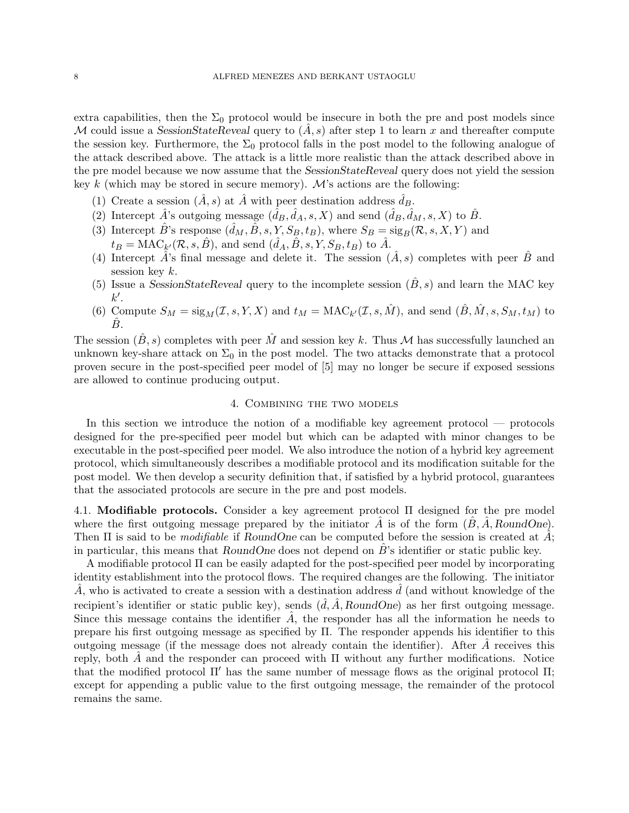extra capabilities, then the  $\Sigma_0$  protocol would be insecure in both the pre and post models since M could issue a SessionStateReveal query to  $(A, s)$  after step 1 to learn x and thereafter compute the session key. Furthermore, the  $\Sigma_0$  protocol falls in the post model to the following analogue of the attack described above. The attack is a little more realistic than the attack described above in the pre model because we now assume that the SessionStateReveal query does not yield the session key k (which may be stored in secure memory).  $\mathcal{M}$ 's actions are the following:

- (1) Create a session  $(\hat{A}, s)$  at  $\hat{A}$  with peer destination address  $\hat{d}_B$ .
- (2) Intercept  $\hat{A}$ 's outgoing message  $(\hat{d}_B, \hat{d}_A, s, X)$  and send  $(\hat{d}_B, \hat{d}_M, s, X)$  to  $\hat{B}$ .
- (3) Intercept  $\hat{B}$ 's response  $(\hat{d}_M, \hat{B}, s, Y, S_B, t_B)$ , where  $S_B = \text{sig}_B(\mathcal{R}, s, X, Y)$  and
- $t_B = \text{MAC}_{k'}(\mathcal{R}, s, \hat{B})$ , and send  $(\hat{d}_A, \hat{B}, s, Y, S_B, t_B)$  to  $\hat{A}$ .
- (4) Intercept A's final message and delete it. The session  $(A, s)$  completes with peer B and session key  $k$ .
- (5) Issue a SessionStateReveal query to the incomplete session  $(\hat{B}, s)$  and learn the MAC key  $k'.$
- (6) Compute  $S_M = \text{sig}_M(\mathcal{I}, s, Y, X)$  and  $t_M = \text{MAC}_{k'}(\mathcal{I}, s, \hat{M})$ , and send  $(\hat{B}, \hat{M}, s, S_M, t_M)$  to  $\hat{B}$ .

The session  $(\hat{B}, s)$  completes with peer  $\hat{M}$  and session key k. Thus M has successfully launched an unknown key-share attack on  $\Sigma_0$  in the post model. The two attacks demonstrate that a protocol proven secure in the post-specified peer model of [5] may no longer be secure if exposed sessions are allowed to continue producing output.

#### 4. Combining the two models

In this section we introduce the notion of a modifiable key agreement protocol — protocols designed for the pre-specified peer model but which can be adapted with minor changes to be executable in the post-specified peer model. We also introduce the notion of a hybrid key agreement protocol, which simultaneously describes a modifiable protocol and its modification suitable for the post model. We then develop a security definition that, if satisfied by a hybrid protocol, guarantees that the associated protocols are secure in the pre and post models.

4.1. **Modifiable protocols.** Consider a key agreement protocol  $\Pi$  designed for the pre model where the first outgoing message prepared by the initiator  $\hat{A}$  is of the form  $(\hat{B}, \hat{A}, R$ oundOne). Then  $\Pi$  is said to be *modifiable* if RoundOne can be computed before the session is created at  $\hat{A}$ ; in particular, this means that RoundOne does not depend on B's identifier or static public key.

A modifiable protocol Π can be easily adapted for the post-specified peer model by incorporating identity establishment into the protocol flows. The required changes are the following. The initiator  $\hat{A}$ , who is activated to create a session with a destination address  $\hat{d}$  (and without knowledge of the recipient's identifier or static public key), sends  $(\hat{d}, \hat{A}, RoundOne)$  as her first outgoing message. Since this message contains the identifier  $\hat{A}$ , the responder has all the information he needs to prepare his first outgoing message as specified by Π. The responder appends his identifier to this outgoing message (if the message does not already contain the identifier). After Aˆ receives this reply, both A and the responder can proceed with  $\Pi$  without any further modifications. Notice that the modified protocol  $\Pi'$  has the same number of message flows as the original protocol  $\Pi$ ; except for appending a public value to the first outgoing message, the remainder of the protocol remains the same.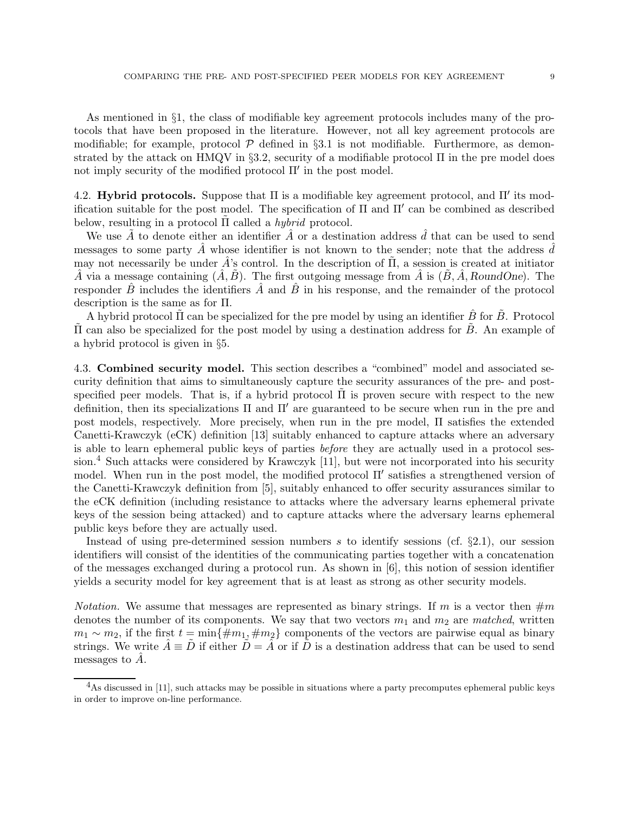As mentioned in §1, the class of modifiable key agreement protocols includes many of the protocols that have been proposed in the literature. However, not all key agreement protocols are modifiable; for example, protocol  $P$  defined in §3.1 is not modifiable. Furthermore, as demonstrated by the attack on HMQV in §3.2, security of a modifiable protocol  $\Pi$  in the pre model does not imply security of the modified protocol Π′ in the post model.

4.2. Hybrid protocols. Suppose that  $\Pi$  is a modifiable key agreement protocol, and  $\Pi'$  its modification suitable for the post model. The specification of Π and Π′ can be combined as described below, resulting in a protocol  $\Pi$  called a *hybrid* protocol.

We use  $\tilde{A}$  to denote either an identifier  $\tilde{A}$  or a destination address  $\tilde{d}$  that can be used to send messages to some party  $\tilde{A}$  whose identifier is not known to the sender; note that the address  $\tilde{d}$ may not necessarily be under A's control. In the description of  $\Pi$ , a session is created at initiator A via a message containing  $(A, B)$ . The first outgoing message from A is  $(B, A, RoundOne)$ . The responder B includes the identifiers A and B in his response, and the remainder of the protocol description is the same as for Π.

A hybrid protocol  $\Pi$  can be specialized for the pre model by using an identifier  $\hat{B}$  for  $\tilde{B}$ . Protocol  $\Pi$  can also be specialized for the post model by using a destination address for B. An example of a hybrid protocol is given in §5.

4.3. Combined security model. This section describes a "combined" model and associated security definition that aims to simultaneously capture the security assurances of the pre- and postspecified peer models. That is, if a hybrid protocol  $\Pi$  is proven secure with respect to the new definition, then its specializations  $\Pi$  and  $\Pi'$  are guaranteed to be secure when run in the pre and post models, respectively. More precisely, when run in the pre model, Π satisfies the extended Canetti-Krawczyk (eCK) definition [13] suitably enhanced to capture attacks where an adversary is able to learn ephemeral public keys of parties before they are actually used in a protocol session.<sup>4</sup> Such attacks were considered by Krawczyk [11], but were not incorporated into his security model. When run in the post model, the modified protocol Π' satisfies a strengthened version of the Canetti-Krawczyk definition from [5], suitably enhanced to offer security assurances similar to the eCK definition (including resistance to attacks where the adversary learns ephemeral private keys of the session being attacked) and to capture attacks where the adversary learns ephemeral public keys before they are actually used.

Instead of using pre-determined session numbers s to identify sessions (cf.  $\S2.1$ ), our session identifiers will consist of the identities of the communicating parties together with a concatenation of the messages exchanged during a protocol run. As shown in [6], this notion of session identifier yields a security model for key agreement that is at least as strong as other security models.

*Notation.* We assume that messages are represented as binary strings. If m is a vector then  $\#m$ denotes the number of its components. We say that two vectors  $m_1$  and  $m_2$  are matched, written  $m_1 \sim m_2$ , if the first  $t = \min\{\#m_1, \#m_2\}$  components of the vectors are pairwise equal as binary strings. We write  $\hat{A} \equiv \tilde{D}$  if either  $\tilde{D} = \hat{A}$  or if  $\tilde{D}$  is a destination address that can be used to send messages to  $\hat{A}$ .

 $4$ As discussed in [11], such attacks may be possible in situations where a party precomputes ephemeral public keys in order to improve on-line performance.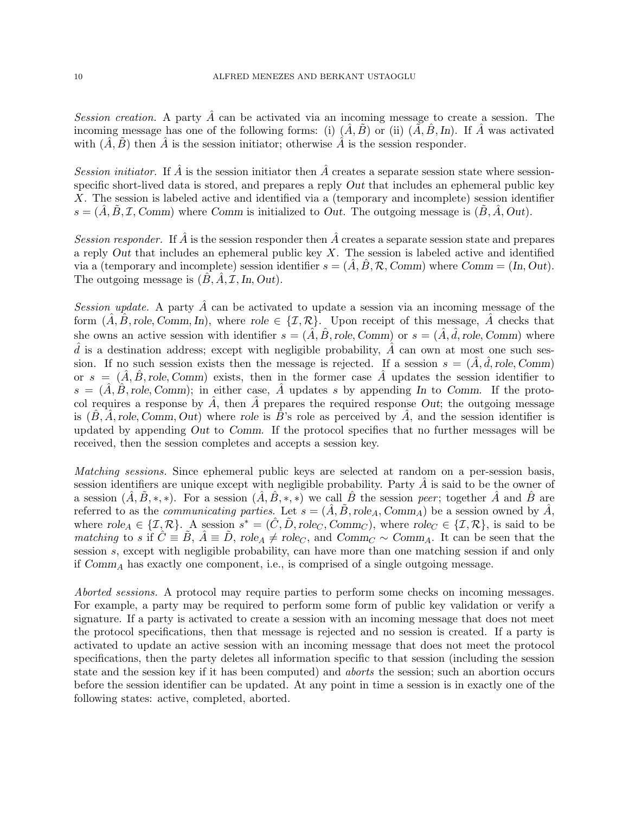Session creation. A party  $\hat{A}$  can be activated via an incoming message to create a session. The incoming message has one of the following forms: (i)  $(A, B)$  or (ii)  $(A, B, In)$ . If A was activated with  $(A, B)$  then A is the session initiator; otherwise A is the session responder.

Session initiator. If  $\hat{A}$  is the session initiator then  $\hat{A}$  creates a separate session state where sessionspecific short-lived data is stored, and prepares a reply Out that includes an ephemeral public key X. The session is labeled active and identified via a (temporary and incomplete) session identifier  $s = (A, B, \mathcal{I}, \text{Comm})$  where Comm is initialized to Out. The outgoing message is  $(B, A, Out)$ .

Session responder. If  $\tilde{A}$  is the session responder then  $\tilde{A}$  creates a separate session state and prepares a reply Out that includes an ephemeral public key  $X$ . The session is labeled active and identified via a (temporary and incomplete) session identifier  $s = (A, B, \mathcal{R}, \mathcal{C}^{(m)}$ , where  $\mathcal{C}^{(m)} = (I_m, O^{(m)})$ . The outgoing message is  $(B, A, \mathcal{I}, \text{In}, \text{Out}).$ 

Session update. A party  $\ddot{A}$  can be activated to update a session via an incoming message of the form  $(\tilde{A}, \tilde{B},$  role, Comm, In), where role  $\in \{\mathcal{I}, \mathcal{R}\}.$  Upon receipt of this message,  $\tilde{A}$  checks that she owns an active session with identifier  $s = (\hat{A}, \hat{B},$  role, Comm) or  $s = (\hat{A}, \hat{d},$  role, Comm) where  $d$  is a destination address; except with negligible probability,  $\hat{A}$  can own at most one such session. If no such session exists then the message is rejected. If a session  $s = (\hat{A}, \hat{d}, \text{role}, \text{Comm})$ or  $s = (A, B, role, Comm)$  exists, then in the former case A updates the session identifier to  $s = (\hat{A}, \hat{B}, \text{role}, \text{Comm})$ ; in either case,  $\hat{A}$  updates s by appending In to Comm. If the protocol requires a response by A, then A prepares the required response Out; the outgoing message is  $(B, A, role, Comm, Out)$  where role is B's role as perceived by A, and the session identifier is updated by appending Out to Comm. If the protocol specifies that no further messages will be received, then the session completes and accepts a session key.

Matching sessions. Since ephemeral public keys are selected at random on a per-session basis, session identifiers are unique except with negligible probability. Party  $\hat{A}$  is said to be the owner of a session  $(A, B, *, *)$ . For a session  $(A, B, *, *)$  we call B<sup>†</sup> the session peer; together A<sup>†</sup> and B<sup>†</sup> are referred to as the *communicating parties*. Let  $s = (A, B, role_A, Comm_A)$  be a session owned by A, where  $role_A \in \{\mathcal{I}, \mathcal{R}\}\)$ . A session  $s^* = (\hat{C}, \tilde{D}, role_C, Comm_C)$ , where  $role_C \in \{\mathcal{I}, \mathcal{R}\}\)$ , is said to be matching to s if  $\hat{C} \equiv \tilde{B}$ ,  $\hat{A} \equiv \tilde{D}$ , role<sub>A</sub>  $\neq$  role<sub>C</sub>, and Comm<sub>C</sub> ~ Comm<sub>A</sub>. It can be seen that the session s, except with negligible probability, can have more than one matching session if and only if Comm<sup>A</sup> has exactly one component, i.e., is comprised of a single outgoing message.

Aborted sessions. A protocol may require parties to perform some checks on incoming messages. For example, a party may be required to perform some form of public key validation or verify a signature. If a party is activated to create a session with an incoming message that does not meet the protocol specifications, then that message is rejected and no session is created. If a party is activated to update an active session with an incoming message that does not meet the protocol specifications, then the party deletes all information specific to that session (including the session state and the session key if it has been computed) and aborts the session; such an abortion occurs before the session identifier can be updated. At any point in time a session is in exactly one of the following states: active, completed, aborted.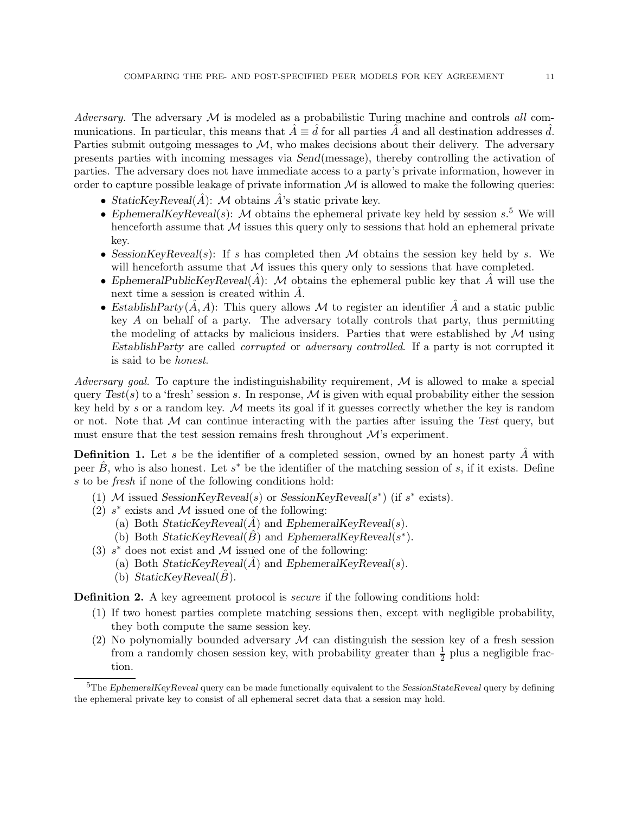Adversary. The adversary  $\mathcal M$  is modeled as a probabilistic Turing machine and controls all communications. In particular, this means that  $\hat{A} \equiv \hat{d}$  for all parties  $\hat{A}$  and all destination addresses  $\hat{d}$ . Parties submit outgoing messages to  $M$ , who makes decisions about their delivery. The adversary presents parties with incoming messages via Send(message), thereby controlling the activation of parties. The adversary does not have immediate access to a party's private information, however in order to capture possible leakage of private information  $\mathcal M$  is allowed to make the following queries:

- StaticKeyReveal( $\hat{A}$ ): M obtains  $\hat{A}$ 's static private key.
- EphemeralKeyReveal(s): M obtains the ephemeral private key held by session  $s$ .<sup>5</sup> We will henceforth assume that  $\mathcal M$  issues this query only to sessions that hold an ephemeral private key.
- SessionKeyReveal(s): If s has completed then M obtains the session key held by s. We will henceforth assume that  $M$  issues this query only to sessions that have completed.
- EphemeralPublicKeyReveal(A): M obtains the ephemeral public key that A will use the next time a session is created within  $\ddot{A}$ .
- Establish Party  $(\hat{A}, A)$ : This query allows M to register an identifier  $\hat{A}$  and a static public key  $A$  on behalf of a party. The adversary totally controls that party, thus permitting the modeling of attacks by malicious insiders. Parties that were established by  $\mathcal M$  using EstablishParty are called corrupted or adversary controlled. If a party is not corrupted it is said to be honest.

Adversary goal. To capture the indistinguishability requirement,  $\mathcal M$  is allowed to make a special query Test(s) to a 'fresh' session s. In response,  $\mathcal M$  is given with equal probability either the session key held by s or a random key.  $M$  meets its goal if it guesses correctly whether the key is random or not. Note that  $M$  can continue interacting with the parties after issuing the Test query, but must ensure that the test session remains fresh throughout  $\mathcal{M}$ 's experiment.

**Definition 1.** Let s be the identifier of a completed session, owned by an honest party  $\hat{A}$  with peer  $\hat{B}$ , who is also honest. Let  $s^*$  be the identifier of the matching session of s, if it exists. Define s to be fresh if none of the following conditions hold:

- (1) M issued SessionKeyReveal(s) or SessionKeyReveal(s<sup>\*</sup>) (if s<sup>\*</sup> exists).
- $(2)$  s<sup>\*</sup> exists and M issued one of the following:
	- (a) Both StaticKeyReveal( $\hat{A}$ ) and EphemeralKeyReveal(s).
	- (b) Both StaticKeyReveal( $\hat{B}$ ) and EphemeralKeyReveal( $s^*$ ).
- (3)  $s^*$  does not exist and M issued one of the following:
	- (a) Both StaticKeyReveal(A) and EphemeralKeyReveal(s).
	- (b)  $StaticKeyReveal(B)$ .

Definition 2. A key agreement protocol is secure if the following conditions hold:

- (1) If two honest parties complete matching sessions then, except with negligible probability, they both compute the same session key.
- (2) No polynomially bounded adversary  $\cal M$  can distinguish the session key of a fresh session from a randomly chosen session key, with probability greater than  $\frac{1}{2}$  plus a negligible fraction.

<sup>&</sup>lt;sup>5</sup>The EphemeralKeyReveal query can be made functionally equivalent to the SessionStateReveal query by defining the ephemeral private key to consist of all ephemeral secret data that a session may hold.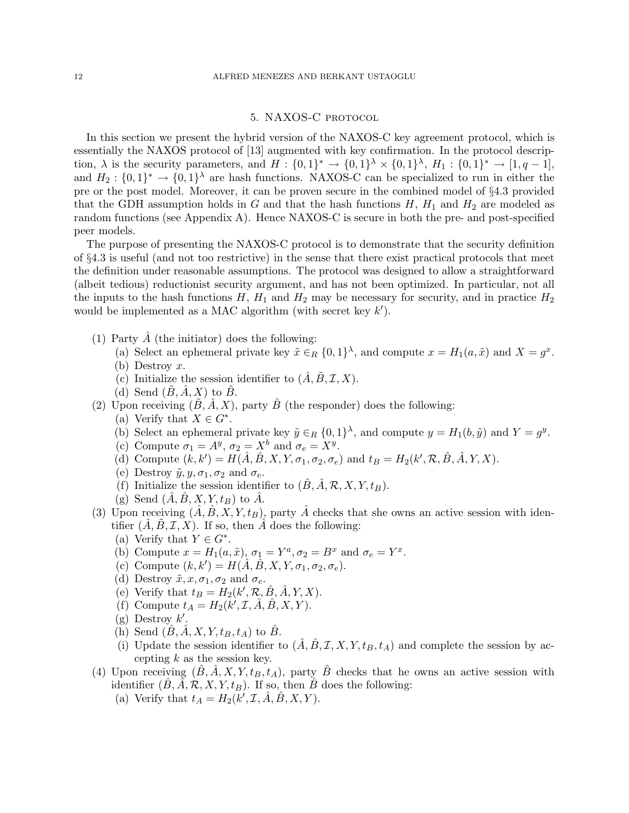# 5. NAXOS-C PROTOCOL

In this section we present the hybrid version of the NAXOS-C key agreement protocol, which is essentially the NAXOS protocol of [13] augmented with key confirmation. In the protocol description,  $\lambda$  is the security parameters, and  $H: \{0,1\}^* \to \{0,1\}^{\lambda} \times \{0,1\}^{\lambda}, H_1: \{0,1\}^* \to [1,q-1],$ and  $H_2: \{0,1\}^* \to \{0,1\}^{\lambda}$  are hash functions. NAXOS-C can be specialized to run in either the pre or the post model. Moreover, it can be proven secure in the combined model of §4.3 provided that the GDH assumption holds in G and that the hash functions  $H$ ,  $H_1$  and  $H_2$  are modeled as random functions (see Appendix A). Hence NAXOS-C is secure in both the pre- and post-specified peer models.

The purpose of presenting the NAXOS-C protocol is to demonstrate that the security definition of §4.3 is useful (and not too restrictive) in the sense that there exist practical protocols that meet the definition under reasonable assumptions. The protocol was designed to allow a straightforward (albeit tedious) reductionist security argument, and has not been optimized. In particular, not all the inputs to the hash functions  $H$ ,  $H_1$  and  $H_2$  may be necessary for security, and in practice  $H_2$ would be implemented as a MAC algorithm (with secret key  $k'$ ).

- (1) Party  $\hat{A}$  (the initiator) does the following:
	- (a) Select an ephemeral private key  $\tilde{x} \in_R \{0,1\}^{\lambda}$ , and compute  $x = H_1(a, \tilde{x})$  and  $X = g^x$ .
	- (b) Destroy x.
	- (c) Initialize the session identifier to  $(\hat{A}, \tilde{B}, \mathcal{I}, X)$ .
	- (d) Send  $(B, A, X)$  to B.
- (2) Upon receiving  $(B, \tilde{A}, X)$ , party  $\tilde{B}$  (the responder) does the following:
	- (a) Verify that  $X \in G^*$ .
	- (b) Select an ephemeral private key  $\tilde{y} \in_R \{0,1\}^{\lambda}$ , and compute  $y = H_1(b, \tilde{y})$  and  $Y = g^y$ .
	- (c) Compute  $\sigma_1 = A^y$ ,  $\sigma_2 = X^b$  and  $\sigma_e = X^y$ .
	- (d) Compute  $(k, k') = H(\hat{A}, \hat{B}, X, Y, \sigma_1, \sigma_2, \sigma_e)$  and  $t_B = H_2(k', \mathcal{R}, \hat{B}, \hat{A}, Y, X)$ .
	- (e) Destroy  $\tilde{y}, y, \sigma_1, \sigma_2$  and  $\sigma_e$ .
	- (f) Initialize the session identifier to  $(\hat{B}, \hat{A}, \mathcal{R}, X, Y, t_B)$ .
	- (g) Send  $(\tilde{A}, \tilde{B}, X, Y, t_B)$  to  $\tilde{A}$ .
- (3) Upon receiving  $(A, B, X, Y, t_B)$ , party A checks that she owns an active session with identifier  $(A, B, \mathcal{I}, X)$ . If so, then A does the following:
	- (a) Verify that  $Y \in G^*$ .
	- (b) Compute  $x = H_1(a, \tilde{x}), \sigma_1 = Y^a, \sigma_2 = B^x$  and  $\sigma_e = Y^x$ .
	- (c) Compute  $(k, k') = H(\hat{A}, \hat{B}, X, Y, \sigma_1, \sigma_2, \sigma_e).$
	- (d) Destroy  $\tilde{x}, x, \sigma_1, \sigma_2$  and  $\sigma_e$ .
	- (e) Verify that  $t_B = H_2(k', \mathcal{R}, \hat{B}, \hat{A}, Y, X)$ .
	- (f) Compute  $t_A = H_2(k^i, \mathcal{I}, \hat{A}, \hat{B}, X, Y)$ .
	- $(g)$  Destroy  $k'$ .
	- (h) Send  $(\hat{B}, \hat{A}, X, Y, t_B, t_A)$  to  $\hat{B}$ .
	- (i) Update the session identifier to  $(\hat{A}, \hat{B}, \mathcal{I}, X, Y, t_B, t_A)$  and complete the session by accepting  $k$  as the session key.
- (4) Upon receiving  $(\hat{B}, \hat{A}, X, Y, t_B, t_A)$ , party  $\hat{B}$  checks that he owns an active session with identifier  $(B, A, \mathcal{R}, X, Y, t_B)$ . If so, then B does the following:
	- (a) Verify that  $t_A = H_2(k', \mathcal{I}, \hat{A}, \hat{B}, X, Y)$ .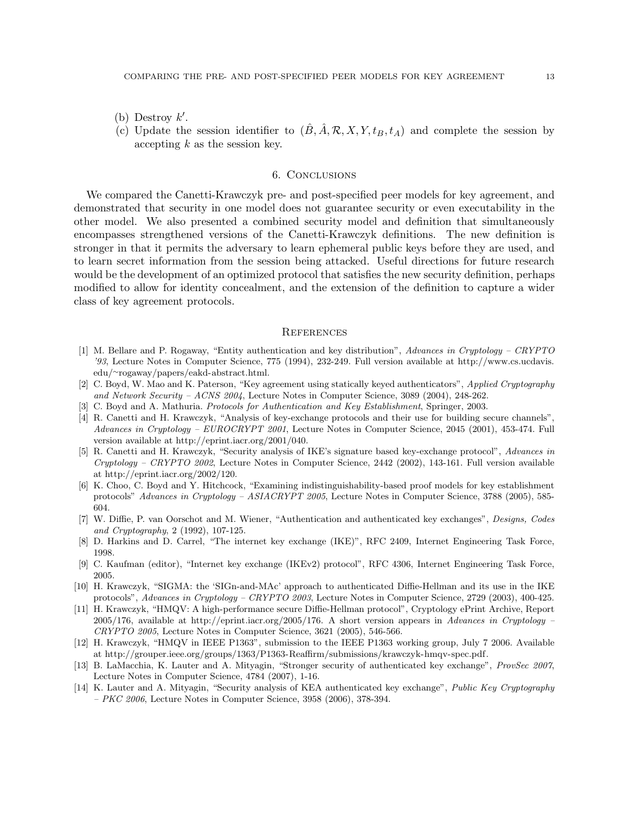- (b) Destroy  $k'$ .
- (c) Update the session identifier to  $(\hat{B}, \hat{A}, \mathcal{R}, X, Y, t_B, t_A)$  and complete the session by accepting  $k$  as the session key.

# 6. Conclusions

We compared the Canetti-Krawczyk pre- and post-specified peer models for key agreement, and demonstrated that security in one model does not guarantee security or even executability in the other model. We also presented a combined security model and definition that simultaneously encompasses strengthened versions of the Canetti-Krawczyk definitions. The new definition is stronger in that it permits the adversary to learn ephemeral public keys before they are used, and to learn secret information from the session being attacked. Useful directions for future research would be the development of an optimized protocol that satisfies the new security definition, perhaps modified to allow for identity concealment, and the extension of the definition to capture a wider class of key agreement protocols.

#### **REFERENCES**

- [1] M. Bellare and P. Rogaway, "Entity authentication and key distribution", Advances in Cryptology CRYPTO '93, Lecture Notes in Computer Science, 775 (1994), 232-249. Full version available at http://www.cs.ucdavis. edu/<sup>∼</sup>rogaway/papers/eakd-abstract.html.
- [2] C. Boyd, W. Mao and K. Paterson, "Key agreement using statically keyed authenticators", Applied Cryptography and Network Security – ACNS 2004, Lecture Notes in Computer Science, 3089 (2004), 248-262.
- [3] C. Boyd and A. Mathuria. Protocols for Authentication and Key Establishment, Springer, 2003.
- [4] R. Canetti and H. Krawczyk, "Analysis of key-exchange protocols and their use for building secure channels", Advances in Cryptology – EUROCRYPT 2001, Lecture Notes in Computer Science, 2045 (2001), 453-474. Full version available at http://eprint.iacr.org/2001/040.
- [5] R. Canetti and H. Krawczyk, "Security analysis of IKE's signature based key-exchange protocol", Advances in Cryptology – CRYPTO 2002, Lecture Notes in Computer Science, 2442 (2002), 143-161. Full version available at http://eprint.iacr.org/2002/120.
- [6] K. Choo, C. Boyd and Y. Hitchcock, "Examining indistinguishability-based proof models for key establishment protocols" Advances in Cryptology – ASIACRYPT 2005, Lecture Notes in Computer Science, 3788 (2005), 585- 604.
- [7] W. Diffie, P. van Oorschot and M. Wiener, "Authentication and authenticated key exchanges", Designs, Codes and Cryptography, 2 (1992), 107-125.
- [8] D. Harkins and D. Carrel, "The internet key exchange (IKE)", RFC 2409, Internet Engineering Task Force, 1998.
- [9] C. Kaufman (editor), "Internet key exchange (IKEv2) protocol", RFC 4306, Internet Engineering Task Force, 2005.
- [10] H. Krawczyk, "SIGMA: the 'SIGn-and-MAc' approach to authenticated Diffie-Hellman and its use in the IKE protocols", Advances in Cryptology – CRYPTO 2003, Lecture Notes in Computer Science, 2729 (2003), 400-425.
- [11] H. Krawczyk, "HMQV: A high-performance secure Diffie-Hellman protocol", Cryptology ePrint Archive, Report 2005/176, available at http://eprint.iacr.org/2005/176. A short version appears in Advances in Cryptology – CRYPTO 2005, Lecture Notes in Computer Science, 3621 (2005), 546-566.
- [12] H. Krawczyk, "HMQV in IEEE P1363", submission to the IEEE P1363 working group, July 7 2006. Available at http://grouper.ieee.org/groups/1363/P1363-Reaffirm/submissions/krawczyk-hmqv-spec.pdf.
- [13] B. LaMacchia, K. Lauter and A. Mityagin, "Stronger security of authenticated key exchange", ProvSec 2007, Lecture Notes in Computer Science, 4784 (2007), 1-16.
- [14] K. Lauter and A. Mityagin, "Security analysis of KEA authenticated key exchange", Public Key Cryptography  $-$  PKC 2006, Lecture Notes in Computer Science, 3958 (2006), 378-394.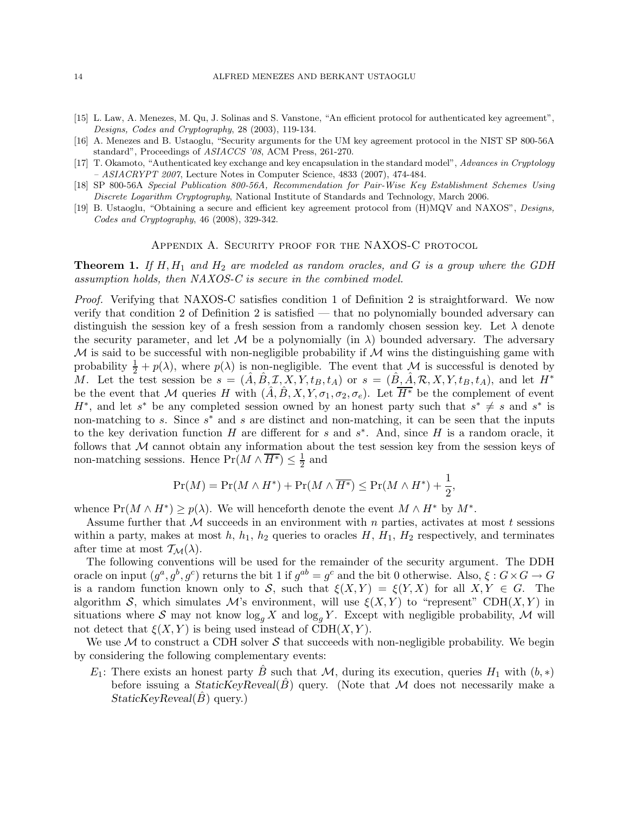- [15] L. Law, A. Menezes, M. Qu, J. Solinas and S. Vanstone, "An efficient protocol for authenticated key agreement", Designs, Codes and Cryptography, 28 (2003), 119-134.
- [16] A. Menezes and B. Ustaoglu, "Security arguments for the UM key agreement protocol in the NIST SP 800-56A standard", Proceedings of ASIACCS '08, ACM Press, 261-270.
- [17] T. Okamoto, "Authenticated key exchange and key encapsulation in the standard model", Advances in Cryptology  $-$  ASIACRYPT 2007, Lecture Notes in Computer Science, 4833 (2007), 474-484.
- [18] SP 800-56A Special Publication 800-56A, Recommendation for Pair-Wise Key Establishment Schemes Using Discrete Logarithm Cryptography, National Institute of Standards and Technology, March 2006.
- [19] B. Ustaoglu, "Obtaining a secure and efficient key agreement protocol from (H)MQV and NAXOS", Designs, Codes and Cryptography, 46 (2008), 329-342.

#### Appendix A. Security proof for the NAXOS-C protocol

**Theorem 1.** If H, H<sub>1</sub> and H<sub>2</sub> are modeled as random oracles, and G is a group where the GDH assumption holds, then NAXOS-C is secure in the combined model.

Proof. Verifying that NAXOS-C satisfies condition 1 of Definition 2 is straightforward. We now verify that condition 2 of Definition 2 is satisfied — that no polynomially bounded adversary can distinguish the session key of a fresh session from a randomly chosen session key. Let  $\lambda$  denote the security parameter, and let M be a polynomially (in  $\lambda$ ) bounded adversary. The adversary  $M$  is said to be successful with non-negligible probability if  $M$  wins the distinguishing game with probability  $\frac{1}{2} + p(\lambda)$ , where  $p(\lambda)$  is non-negligible. The event that M is successful is denoted by M. Let the test session be  $s = (A, B, \mathcal{I}, X, Y, t_B, t_A)$  or  $s = (B, A, \mathcal{R}, X, Y, t_B, t_A)$ , and let  $H^*$ be the event that M queries H with  $(\hat{A}, \hat{B}, X, Y, \sigma_1, \sigma_2, \sigma_e)$ . Let  $\overline{H^*}$  be the complement of event  $H^*$ , and let s<sup>\*</sup> be any completed session owned by an honest party such that  $s^* \neq s$  and s<sup>\*</sup> is non-matching to s. Since  $s^*$  and s are distinct and non-matching, it can be seen that the inputs to the key derivation function H are different for s and  $s^*$ . And, since H is a random oracle, it follows that  $M$  cannot obtain any information about the test session key from the session keys of non-matching sessions. Hence  $Pr(M \wedge \overline{H^*}) \leq \frac{1}{2}$  and

$$
\Pr(M) = \Pr(M \wedge H^*) + \Pr(M \wedge \overline{H^*}) \le \Pr(M \wedge H^*) + \frac{1}{2},
$$

whence  $Pr(M \wedge H^*) \geq p(\lambda)$ . We will henceforth denote the event  $M \wedge H^*$  by  $M^*$ .

Assume further that  $M$  succeeds in an environment with n parties, activates at most t sessions within a party, makes at most  $h$ ,  $h_1$ ,  $h_2$  queries to oracles  $H$ ,  $H_1$ ,  $H_2$  respectively, and terminates after time at most  $\mathcal{T}_{\mathcal{M}}(\lambda)$ .

The following conventions will be used for the remainder of the security argument. The DDH oracle on input  $(g^a, g^b, g^c)$  returns the bit 1 if  $g^{ab} = g^c$  and the bit 0 otherwise. Also,  $\xi : G \times G \to G$ is a random function known only to S, such that  $\xi(X, Y) = \xi(Y, X)$  for all  $X, Y \in G$ . The algorithm S, which simulates M's environment, will use  $\xi(X, Y)$  to "represent" CDH(X, Y) in situations where S may not know  $\log_a X$  and  $\log_a Y$ . Except with negligible probability, M will not detect that  $\xi(X, Y)$  is being used instead of CDH(X, Y).

We use  $\mathcal M$  to construct a CDH solver S that succeeds with non-negligible probability. We begin by considering the following complementary events:

E<sub>1</sub>: There exists an honest party B<sup>ρ</sup> such that M, during its execution, queries H<sub>1</sub> with  $(b, *)$ before issuing a StaticKeyReveal(B) query. (Note that M does not necessarily make a  $StaticKeyReveal(\overrightarrow{B})$  query.)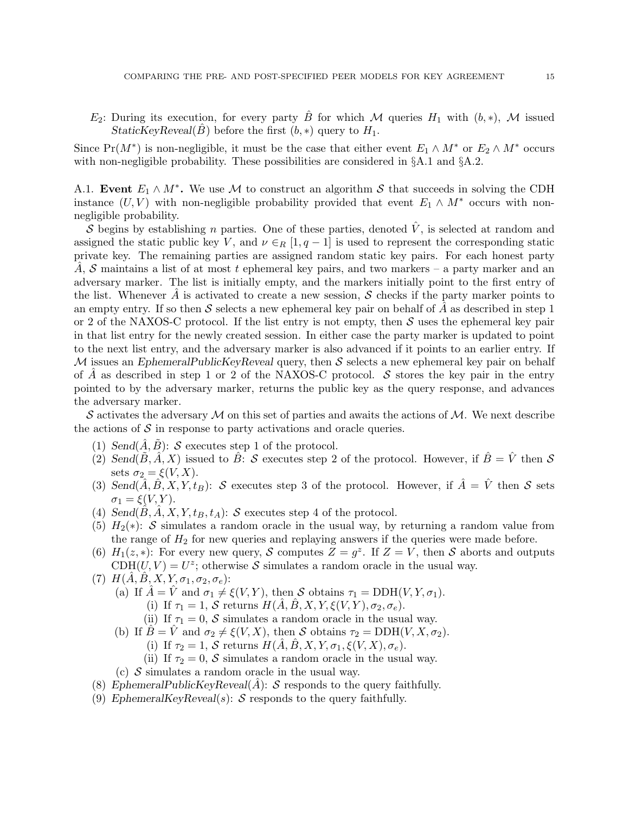E<sub>2</sub>: During its execution, for every party B<sup>†</sup> for which M<sup>†</sup> queries  $H_1$  with  $(b, *)$ , M<sup>†</sup> issued StaticKeyReveal( $\hat{B}$ ) before the first  $(b, *)$  query to  $H_1$ .

Since Pr( $M^*$ ) is non-negligible, it must be the case that either event  $E_1 \wedge M^*$  or  $E_2 \wedge M^*$  occurs with non-negligible probability. These possibilities are considered in  $\S$ A.1 and  $\S$ A.2.

A.1. Event  $E_1 \wedge M^*$ . We use M to construct an algorithm S that succeeds in solving the CDH instance  $(U, V)$  with non-negligible probability provided that event  $E_1 \wedge M^*$  occurs with nonnegligible probability.

S begins by establishing n parties. One of these parties, denoted  $\hat{V}$ , is selected at random and assigned the static public key V, and  $\nu \in_R [1, q-1]$  is used to represent the corresponding static private key. The remaining parties are assigned random static key pairs. For each honest party A, S maintains a list of at most t ephemeral key pairs, and two markers – a party marker and an adversary marker. The list is initially empty, and the markers initially point to the first entry of the list. Whenever A is activated to create a new session,  $S$  checks if the party marker points to an empty entry. If so then S selects a new ephemeral key pair on behalf of A as described in step 1 or 2 of the NAXOS-C protocol. If the list entry is not empty, then  $S$  uses the ephemeral key pair in that list entry for the newly created session. In either case the party marker is updated to point to the next list entry, and the adversary marker is also advanced if it points to an earlier entry. If M issues an EphemeralPublicKeyReveal query, then S selects a new ephemeral key pair on behalf of A as described in step 1 or 2 of the NAXOS-C protocol.  $\mathcal S$  stores the key pair in the entry pointed to by the adversary marker, returns the public key as the query response, and advances the adversary marker.

S activates the adversary  $M$  on this set of parties and awaits the actions of  $M$ . We next describe the actions of  $S$  in response to party activations and oracle queries.

- (1) Send $(\hat{A}, \hat{B})$ : S executes step 1 of the protocol.
- (2) Send $(\tilde{B}, \hat{A}, X)$  issued to  $\hat{B}$ : S executes step 2 of the protocol. However, if  $\hat{B} = \hat{V}$  then S sets  $\sigma_2 = \xi(V, X)$ .
- (3) Send $(\hat{A}, \hat{B}, X, Y, t_B)$ : S executes step 3 of the protocol. However, if  $\hat{A} = \hat{V}$  then S sets  $\sigma_1 = \xi(V, Y)$ .
- (4) Send $(\tilde{B}, \tilde{A}, X, Y, t_B, t_A)$ : S executes step 4 of the protocol.
- (5)  $H_2(*)$ : S simulates a random oracle in the usual way, by returning a random value from the range of  $H_2$  for new queries and replaying answers if the queries were made before.
- (6)  $H_1(z, *)$ : For every new query, S computes  $Z = g^z$ . If  $Z = V$ , then S aborts and outputs CDH $(U, V) = U^z$ ; otherwise S simulates a random oracle in the usual way.

(7) 
$$
H(\hat{A}, \hat{B}, X, Y, \sigma_1, \sigma_2, \sigma_e)
$$
:

(a) If 
$$
\hat{A} = \hat{V}
$$
 and  $\sigma_1 \neq \xi(V, Y)$ , then S obtains  $\tau_1 = \text{DDH}(V, Y, \sigma_1)$ .

- (i) If  $\tau_1 = 1$ , S returns  $H(\tilde{A}, \tilde{B}, X, Y, \xi(V, Y), \sigma_2, \sigma_e)$ .
- (ii) If  $\tau_1 = 0$ , S simulates a random oracle in the usual way.
- (b) If  $\hat{B} = \hat{V}$  and  $\sigma_2 \neq \xi(V, X)$ , then S obtains  $\tau_2 = \text{DDH}(V, X, \sigma_2)$ .
	- (i) If  $\tau_2 = 1$ , S returns  $H(\hat{A}, \hat{B}, X, Y, \sigma_1, \xi(V, X), \sigma_e)$ .
	- (ii) If  $\tau_2 = 0$ , S simulates a random oracle in the usual way.
- (c)  $S$  simulates a random oracle in the usual way.
- (8) EphemeralPublicKeyReveal(A): S responds to the query faithfully.
- (9) EphemeralKeyReveal(s):  $S$  responds to the query faithfully.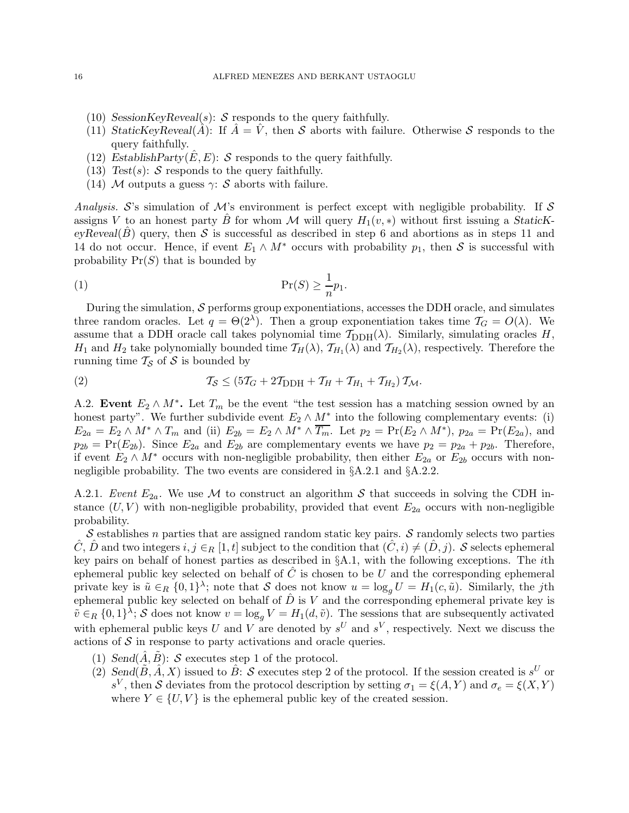- (10) SessionKeyReveal(s):  $S$  responds to the query faithfully.
- (11) StaticKeyReveal( $\hat{A}$ ): If  $\hat{A} = \hat{V}$ , then S aborts with failure. Otherwise S responds to the query faithfully.
- (12) Establish Party  $(E, E)$ : S responds to the query faithfully.
- (13) Test(s):  $S$  responds to the query faithfully.
- (14) M outputs a guess  $\gamma$ : S aborts with failure.

Analysis. S's simulation of M's environment is perfect except with negligible probability. If S assigns V to an honest party B for whom M will query  $H_1(v, *)$  without first issuing a StaticKeyReveal( $\hat{B}$ ) query, then S is successful as described in step 6 and abortions as in steps 11 and 14 do not occur. Hence, if event  $E_1 \wedge M^*$  occurs with probability  $p_1$ , then S is successful with probability  $Pr(S)$  that is bounded by

$$
\Pr(S) \ge \frac{1}{n} p_1.
$$

During the simulation,  $S$  performs group exponentiations, accesses the DDH oracle, and simulates three random oracles. Let  $q = \Theta(2^{\lambda})$ . Then a group exponentiation takes time  $\mathcal{T}_G = O(\lambda)$ . We assume that a DDH oracle call takes polynomial time  $\mathcal{T}_{DDH}(\lambda)$ . Similarly, simulating oracles H,  $H_1$  and  $H_2$  take polynomially bounded time  $\mathcal{T}_H(\lambda)$ ,  $\mathcal{T}_{H_1}(\lambda)$  and  $\mathcal{T}_{H_2}(\lambda)$ , respectively. Therefore the running time  $T_S$  of S is bounded by

(2) 
$$
\mathcal{T}_{\mathcal{S}} \leq (5\mathcal{T}_{G} + 2\mathcal{T}_{\text{DDH}} + \mathcal{T}_{H} + \mathcal{T}_{H_1} + \mathcal{T}_{H_2}) \mathcal{T}_{\mathcal{M}}.
$$

A.2. Event  $E_2 \wedge M^*$ . Let  $T_m$  be the event "the test session has a matching session owned by an honest party". We further subdivide event  $E_2 \wedge M^*$  into the following complementary events: (i)  $E_{2a} = E_2 \wedge M^* \wedge T_m$  and (ii)  $E_{2b} = E_2 \wedge M^* \wedge \overline{T_m}$ . Let  $p_2 = \Pr(E_2 \wedge M^*)$ ,  $p_{2a} = \Pr(E_{2a})$ , and  $p_{2b} = Pr(E_{2b})$ . Since  $E_{2a}$  and  $E_{2b}$  are complementary events we have  $p_2 = p_{2a} + p_{2b}$ . Therefore, if event  $E_2 \wedge M^*$  occurs with non-negligible probability, then either  $E_{2a}$  or  $E_{2b}$  occurs with nonnegligible probability. The two events are considered in §A.2.1 and §A.2.2.

A.2.1. Event  $E_{2a}$ . We use M to construct an algorithm S that succeeds in solving the CDH instance  $(U, V)$  with non-negligible probability, provided that event  $E_{2a}$  occurs with non-negligible probability.

 $S$  establishes n parties that are assigned random static key pairs.  $S$  randomly selects two parties  $C, D$  and two integers  $i, j \in_R [1, t]$  subject to the condition that  $(C, i) \neq (D, j)$ . S selects ephemeral key pairs on behalf of honest parties as described in  $\S$ A.1, with the following exceptions. The *i*th ephemeral public key selected on behalf of  $C$  is chosen to be  $U$  and the corresponding ephemeral private key is  $\tilde{u} \in_R \{0,1\}^{\lambda}$ ; note that S does not know  $u = \log_g U = H_1(c, \tilde{u})$ . Similarly, the jth ephemeral public key selected on behalf of  $\hat{D}$  is V and the corresponding ephemeral private key is  $\tilde{v} \in_R \{0,1\}^{\lambda}; \mathcal{S}$  does not know  $v = \log_g V = H_1(d, \tilde{v})$ . The sessions that are subsequently activated with ephemeral public keys U and V are denoted by  $s^U$  and  $s^V$ , respectively. Next we discuss the actions of  $S$  in response to party activations and oracle queries.

- (1) Send $(A, B)$ : S executes step 1 of the protocol.
- (2) Send $(\tilde{B}, \hat{A}, X)$  issued to  $\hat{B}$ : S executes step 2 of the protocol. If the session created is  $s^U$  or  $s^V$ , then S deviates from the protocol description by setting  $\sigma_1 = \xi(A, Y)$  and  $\sigma_e = \xi(X, Y)$ where  $Y \in \{U, V\}$  is the ephemeral public key of the created session.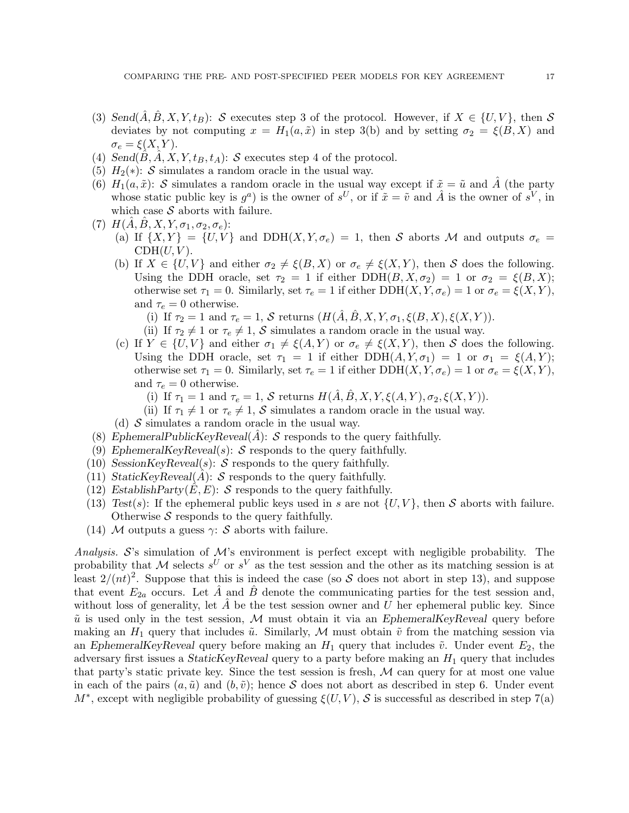- (3) Send $(\tilde{A}, \tilde{B}, X, Y, t_B)$ : S executes step 3 of the protocol. However, if  $X \in \{U, V\}$ , then S deviates by not computing  $x = H_1(a, \tilde{x})$  in step 3(b) and by setting  $\sigma_2 = \xi(B, X)$  and  $\sigma_e = \xi(X, Y)$ .
- (4) Send $(\tilde{B}, \tilde{A}, X, Y, t_B, t_A)$ : S executes step 4 of the protocol.
- (5)  $H_2(*)$ : S simulates a random oracle in the usual way.
- (6)  $H_1(a, \tilde{x})$ : S simulates a random oracle in the usual way except if  $\tilde{x} = \tilde{u}$  and  $\hat{A}$  (the party whose static public key is  $g^a$ ) is the owner of  $s^U$ , or if  $\tilde{x} = \tilde{v}$  and  $\hat{A}$  is the owner of  $s^V$ , in which case  $S$  aborts with failure.
- (7)  $H(\hat{A}, \hat{B}, X, Y, \sigma_1, \sigma_2, \sigma_e)$ :
	- (a) If  $\{X, Y\} = \{U, V\}$  and  $DDH(X, Y, \sigma_e) = 1$ , then S aborts M and outputs  $\sigma_e =$  $CDH(U, V)$ .
	- (b) If  $X \in \{U, V\}$  and either  $\sigma_2 \neq \xi(B, X)$  or  $\sigma_e \neq \xi(X, Y)$ , then S does the following. Using the DDH oracle, set  $\tau_2 = 1$  if either DDH(B, X,  $\sigma_2 = 1$  or  $\sigma_2 = \xi(B, X);$ otherwise set  $\tau_1 = 0$ . Similarly, set  $\tau_e = 1$  if either  $DDH(X, Y, \sigma_e) = 1$  or  $\sigma_e = \xi(X, Y)$ , and  $\tau_e = 0$  otherwise.
		- (i) If  $\tau_2 = 1$  and  $\tau_e = 1$ , S returns  $(H(\hat{A}, \hat{B}, X, Y, \sigma_1, \xi(B, X), \xi(X, Y)).$
		- (ii) If  $\tau_2 \neq 1$  or  $\tau_e \neq 1$ , S simulates a random oracle in the usual way.
	- (c) If  $Y \in \{U, V\}$  and either  $\sigma_1 \neq \xi(A, Y)$  or  $\sigma_e \neq \xi(X, Y)$ , then S does the following. Using the DDH oracle, set  $\tau_1 = 1$  if either DDH(A, Y,  $\sigma_1$ ) = 1 or  $\sigma_1 = \xi(A, Y)$ ; otherwise set  $\tau_1 = 0$ . Similarly, set  $\tau_e = 1$  if either  $DDH(X, Y, \sigma_e) = 1$  or  $\sigma_e = \xi(X, Y)$ , and  $\tau_e = 0$  otherwise.
		- (i) If  $\tau_1 = 1$  and  $\tau_e = 1$ , S returns  $H(\hat{A}, \hat{B}, X, Y, \xi(A, Y), \sigma_2, \xi(X, Y)).$
		- (ii) If  $\tau_1 \neq 1$  or  $\tau_e \neq 1$ , S simulates a random oracle in the usual way.
	- (d)  $S$  simulates a random oracle in the usual way.
- (8) EphemeralPublicKeyReveal( $\ddot{A}$ ):  $S$  responds to the query faithfully.
- (9) EphemeralKeyReveal(s):  $S$  responds to the query faithfully.
- (10) SessionKeyReveal(s): S responds to the query faithfully.
- (11) StaticKeyReveal(A): S responds to the query faithfully.
- (12) EstablishParty $(E, E)$ : S responds to the query faithfully.
- (13) Test(s): If the ephemeral public keys used in s are not  $\{U, V\}$ , then S aborts with failure. Otherwise  $S$  responds to the query faithfully.
- (14) M outputs a guess  $\gamma$ : S aborts with failure.

Analysis.  $S$ 's simulation of  $M$ 's environment is perfect except with negligible probability. The probability that M selects  $s^U$  or  $s^V$  as the test session and the other as its matching session is at least  $2/(nt)^2$ . Suppose that this is indeed the case (so S does not abort in step 13), and suppose that event  $E_{2a}$  occurs. Let  $\hat{A}$  and  $\hat{B}$  denote the communicating parties for the test session and, without loss of generality, let  $\tilde{A}$  be the test session owner and U her ephemeral public key. Since  $\tilde{u}$  is used only in the test session, M must obtain it via an EphemeralKeyReveal query before making an  $H_1$  query that includes  $\tilde{u}$ . Similarly, M must obtain  $\tilde{v}$  from the matching session via an EphemeralKeyReveal query before making an  $H_1$  query that includes  $\tilde{v}$ . Under event  $E_2$ , the adversary first issues a *StaticKeyReveal* query to a party before making an  $H_1$  query that includes that party's static private key. Since the test session is fresh,  $M$  can query for at most one value in each of the pairs  $(a, \tilde{u})$  and  $(b, \tilde{v})$ ; hence S does not abort as described in step 6. Under event  $M^*$ , except with negligible probability of guessing  $\xi(U,V)$ , S is successful as described in step 7(a)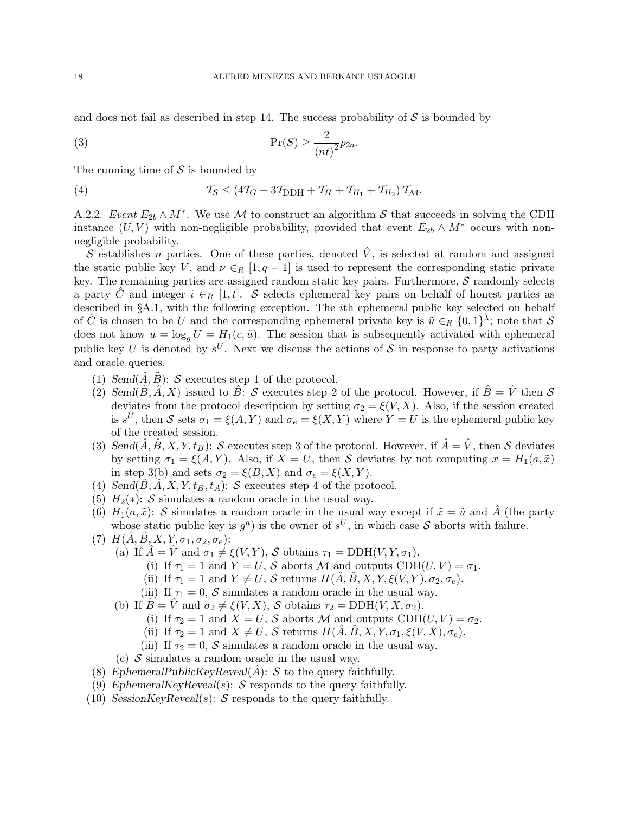and does not fail as described in step 14. The success probability of  $S$  is bounded by

$$
\Pr(S) \ge \frac{2}{(nt)^2} p_{2a}.
$$

The running time of  $S$  is bounded by

(4) T<sup>S</sup> ≤ (4T<sup>G</sup> + 3TDDH + T<sup>H</sup> + TH<sup>1</sup> + TH<sup>2</sup> ) TM.

A.2.2. Event  $E_{2b} \wedge M^*$ . We use M to construct an algorithm S that succeeds in solving the CDH instance  $(U, V)$  with non-negligible probability, provided that event  $E_{2b} \wedge M^*$  occurs with nonnegligible probability.

S establishes n parties. One of these parties, denoted  $\hat{V}$ , is selected at random and assigned the static public key V, and  $\nu \in_R [1, q-1]$  is used to represent the corresponding static private key. The remaining parties are assigned random static key pairs. Furthermore,  $S$  randomly selects a party  $\hat{C}$  and integer  $i \in_R [1, t]$ . S selects ephemeral key pairs on behalf of honest parties as described in §A.1, with the following exception. The ith ephemeral public key selected on behalf of  $\hat{C}$  is chosen to be U and the corresponding ephemeral private key is  $\tilde{u} \in_R \{0,1\}^{\lambda}$ ; note that S does not know  $u = \log_a U = H_1(c, \tilde{u})$ . The session that is subsequently activated with ephemeral public key U is denoted by  $s^U$ . Next we discuss the actions of S in response to party activations and oracle queries.

- (1) Send $(\hat{A}, \hat{B})$ : S executes step 1 of the protocol.
- (2) Send( $\hat{B}, \hat{A}, X$ ) issued to  $\hat{B}$ : S executes step 2 of the protocol. However, if  $\hat{B} = \hat{V}$  then S deviates from the protocol description by setting  $\sigma_2 = \xi(V, X)$ . Also, if the session created is  $s^U$ , then S sets  $\sigma_1 = \xi(A, Y)$  and  $\sigma_e = \xi(X, Y)$  where  $Y = U$  is the ephemeral public key of the created session.
- (3) Send $(\hat{A}, \hat{B}, X, Y, t_B)$ : S executes step 3 of the protocol. However, if  $\hat{A} = \hat{V}$ , then S deviates by setting  $\sigma_1 = \xi(A, Y)$ . Also, if  $X = U$ , then S deviates by not computing  $x = H_1(a, \tilde{x})$ in step 3(b) and sets  $\sigma_2 = \xi(B, X)$  and  $\sigma_e = \xi(X, Y)$ .
- (4) Send $(B, A, X, Y, t_B, t_A)$ : S executes step 4 of the protocol.
- (5)  $H_2(*)$ : S simulates a random oracle in the usual way.
- (6)  $H_1(a, \tilde{x})$ : S simulates a random oracle in the usual way except if  $\tilde{x} = \tilde{u}$  and  $\hat{A}$  (the party whose static public key is  $g^a$ ) is the owner of  $s^U$ , in which case S aborts with failure.
- (7)  $H(\hat{A}, \hat{B}, X, Y, \sigma_1, \sigma_2, \sigma_e)$ :
	- (a) If  $\tilde{A} = \tilde{V}$  and  $\sigma_1 \neq \xi(V, Y)$ , S obtains  $\tau_1 = \text{DDH}(V, Y, \sigma_1)$ .
		- (i) If  $\tau_1 = 1$  and  $Y = U$ , S aborts M and outputs  $CDH(U, V) = \sigma_1$ .
		- (ii) If  $\tau_1 = 1$  and  $Y \neq U$ , S returns  $H(\hat{A}, \hat{B}, X, Y, \xi(V, Y), \sigma_2, \sigma_e)$ .
		- (iii) If  $\tau_1 = 0$ , S simulates a random oracle in the usual way.
	- (b) If  $B = \tilde{V}$  and  $\sigma_2 \neq \xi(V, X)$ , S obtains  $\tau_2 = \text{DDH}(V, X, \sigma_2)$ .
		- (i) If  $\tau_2 = 1$  and  $X = U$ , S aborts M and outputs CDH $(U, V) = \sigma_2$ .
		- (ii) If  $\tau_2 = 1$  and  $X \neq U$ , S returns  $H(\hat{A}, \hat{B}, X, Y, \sigma_1, \xi(V, X), \sigma_e)$ .
		- (iii) If  $\tau_2 = 0$ , S simulates a random oracle in the usual way.
	- (c)  $S$  simulates a random oracle in the usual way.
- (8) EphemeralPublicKeyReveal( $\hat{A}$ ): S to the query faithfully.
- (9) EphemeralKeyReveal(s):  $S$  responds to the query faithfully.
- (10) SessionKeyReveal(s): S responds to the query faithfully.